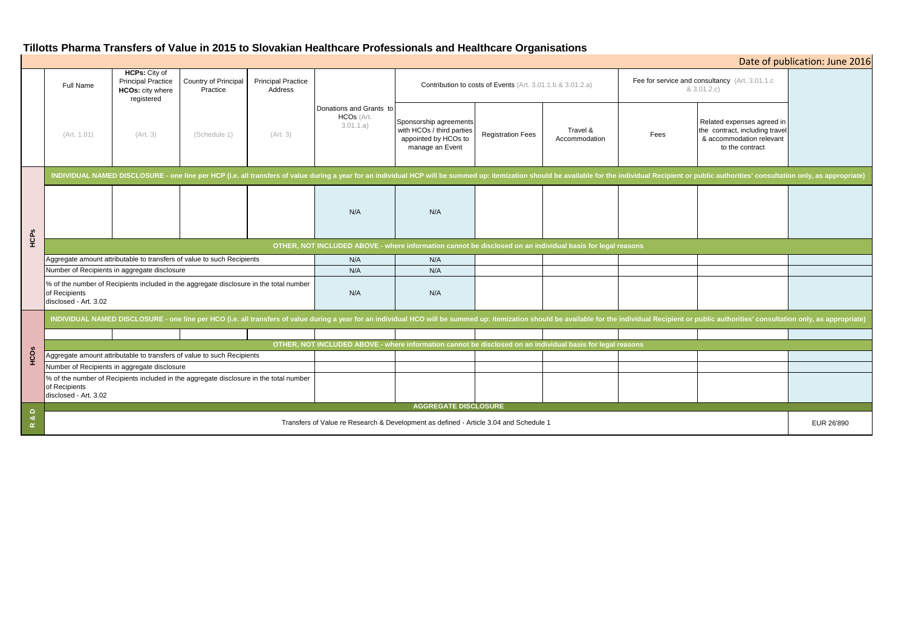# **Tillotts Pharma Transfers of Value in 2015 to Slovakian Healthcare Professionals and Healthcare Organisations**

|                          | <b>Full Name</b>                                                                                                                                                                                                               | <b>HCPs: City of</b><br><b>Principal Practice</b><br>HCOs: city where<br>registered | Country of Principal<br>Practice | <b>Principal Practice</b><br>Address | Donations and Grants to<br>HCOs (Art.<br>3.01.1.a) | Contribution to costs of Events (Art. 3.01.1.b & 3.01.2.a)                                     |                          |                           | Fee for service and consultancy (Art. 3.01.1.c)<br>& 3.01.2.c) |                                                                                                             |  |
|--------------------------|--------------------------------------------------------------------------------------------------------------------------------------------------------------------------------------------------------------------------------|-------------------------------------------------------------------------------------|----------------------------------|--------------------------------------|----------------------------------------------------|------------------------------------------------------------------------------------------------|--------------------------|---------------------------|----------------------------------------------------------------|-------------------------------------------------------------------------------------------------------------|--|
|                          | (Art. 1.01)                                                                                                                                                                                                                    | (Art. 3)                                                                            | (Schedule 1)                     | (Art. 3)                             |                                                    | Sponsorship agreements<br>with HCOs / third parties<br>appointed by HCOs to<br>manage an Event | <b>Registration Fees</b> | Travel &<br>Accommodation | Fees                                                           | Related expenses agreed in<br>the contract, including travel<br>& accommodation relevant<br>to the contract |  |
| HCPS                     | INDIVIDUAL NAMED DISCLOSURE - one line per HCP (i.e. all transfers of value during a year for an individual HCP will be summed up: itemization should be available for the individual Recipient or public authorities' consult |                                                                                     |                                  |                                      |                                                    |                                                                                                |                          |                           |                                                                |                                                                                                             |  |
|                          |                                                                                                                                                                                                                                |                                                                                     |                                  |                                      | N/A                                                | N/A                                                                                            |                          |                           |                                                                |                                                                                                             |  |
|                          | OTHER, NOT INCLUDED ABOVE - where information cannot be disclosed on an individual basis for legal reasons                                                                                                                     |                                                                                     |                                  |                                      |                                                    |                                                                                                |                          |                           |                                                                |                                                                                                             |  |
|                          | Aggregate amount attributable to transfers of value to such Recipients                                                                                                                                                         |                                                                                     |                                  |                                      | N/A                                                | N/A                                                                                            |                          |                           |                                                                |                                                                                                             |  |
|                          | Number of Recipients in aggregate disclosure                                                                                                                                                                                   |                                                                                     |                                  |                                      | N/A                                                | N/A                                                                                            |                          |                           |                                                                |                                                                                                             |  |
|                          | % of the number of Recipients included in the aggregate disclosure in the total number<br>of Recipients<br>disclosed - Art. 3.02                                                                                               |                                                                                     |                                  |                                      | N/A                                                | N/A                                                                                            |                          |                           |                                                                |                                                                                                             |  |
| HCOS                     | INDIVIDUAL NAMED DISCLOSURE - one line per HCO (i.e. all transfers of value during a year for an individual HCO will be summed up: itemization should be available for the individual Recipient or public authorities' consult |                                                                                     |                                  |                                      |                                                    |                                                                                                |                          |                           |                                                                |                                                                                                             |  |
|                          |                                                                                                                                                                                                                                |                                                                                     |                                  |                                      |                                                    |                                                                                                |                          |                           |                                                                |                                                                                                             |  |
|                          | OTHER, NOT INCLUDED ABOVE - where information cannot be disclosed on an individual basis for legal reasons                                                                                                                     |                                                                                     |                                  |                                      |                                                    |                                                                                                |                          |                           |                                                                |                                                                                                             |  |
|                          | Aggregate amount attributable to transfers of value to such Recipients                                                                                                                                                         |                                                                                     |                                  |                                      |                                                    |                                                                                                |                          |                           |                                                                |                                                                                                             |  |
|                          | Number of Recipients in aggregate disclosure                                                                                                                                                                                   |                                                                                     |                                  |                                      |                                                    |                                                                                                |                          |                           |                                                                |                                                                                                             |  |
|                          | % of the number of Recipients included in the aggregate disclosure in the total number<br>of Recipients<br>disclosed - Art. 3.02                                                                                               |                                                                                     |                                  |                                      |                                                    |                                                                                                |                          |                           |                                                                |                                                                                                             |  |
| $\Box$<br>ಂಶ<br>$\alpha$ | <b>AGGREGATE DISCLOSURE</b>                                                                                                                                                                                                    |                                                                                     |                                  |                                      |                                                    |                                                                                                |                          |                           |                                                                |                                                                                                             |  |
|                          | Transfers of Value re Research & Development as defined - Article 3.04 and Schedule 1                                                                                                                                          |                                                                                     |                                  |                                      |                                                    |                                                                                                |                          |                           |                                                                | EUR 26'890                                                                                                  |  |

| Date of publication: June 2016                                             |                                                                                                             |            |  |  |  |  |  |  |  |  |
|----------------------------------------------------------------------------|-------------------------------------------------------------------------------------------------------------|------------|--|--|--|--|--|--|--|--|
| Fee for service and consultancy (Art. 3.01.1.c<br>& 3.01.2.c)              |                                                                                                             |            |  |  |  |  |  |  |  |  |
| Fees                                                                       | Related expenses agreed in<br>the contract, including travel<br>& accommodation relevant<br>to the contract |            |  |  |  |  |  |  |  |  |
| vidual Recipient or public authorities' consultation only, as appropriate) |                                                                                                             |            |  |  |  |  |  |  |  |  |
|                                                                            |                                                                                                             |            |  |  |  |  |  |  |  |  |
| ons                                                                        |                                                                                                             |            |  |  |  |  |  |  |  |  |
|                                                                            |                                                                                                             |            |  |  |  |  |  |  |  |  |
|                                                                            |                                                                                                             |            |  |  |  |  |  |  |  |  |
| vidual Recipient or public authorities' consultation only, as appropriate) |                                                                                                             |            |  |  |  |  |  |  |  |  |
|                                                                            |                                                                                                             |            |  |  |  |  |  |  |  |  |
| ວກຣ                                                                        |                                                                                                             |            |  |  |  |  |  |  |  |  |
|                                                                            |                                                                                                             |            |  |  |  |  |  |  |  |  |
|                                                                            |                                                                                                             |            |  |  |  |  |  |  |  |  |
|                                                                            |                                                                                                             | EUR 26'890 |  |  |  |  |  |  |  |  |